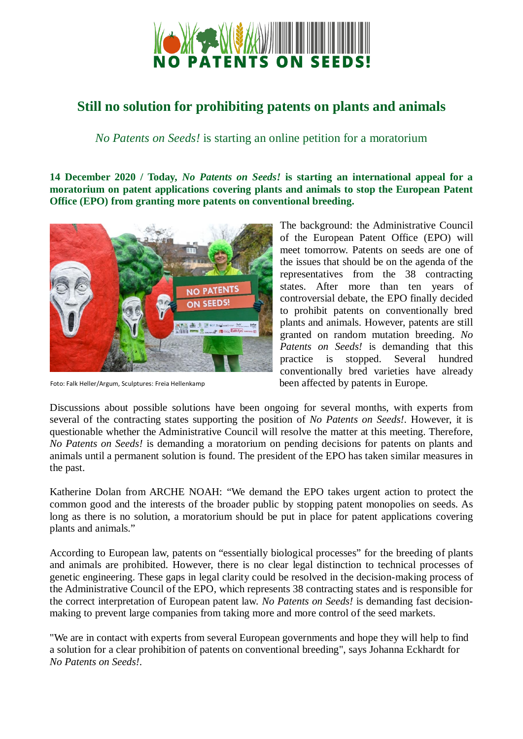

## **Still no solution for prohibiting patents on plants and animals**

*No Patents on Seeds!* is starting an online petition for a moratorium

**14 December 2020 / Today,** *No Patents on Seeds!* **is starting an international appeal for a moratorium on patent applications covering plants and animals to stop the European Patent Office (EPO) from granting more patents on conventional breeding.** 



Foto: Falk Heller/Argum, Sculptures: Freia Hellenkamp

The background: the Administrative Council of the European Patent Office (EPO) will meet tomorrow. Patents on seeds are one of the issues that should be on the agenda of the representatives from the 38 contracting states. After more than ten years of controversial debate, the EPO finally decided to prohibit patents on conventionally bred plants and animals. However, patents are still granted on random mutation breeding. *No Patents on Seeds!* is demanding that this practice is stopped. Several hundred conventionally bred varieties have already been affected by patents in Europe.

Discussions about possible solutions have been ongoing for several months, with experts from several of the contracting states supporting the position of *No Patents on Seeds!*. However, it is questionable whether the Administrative Council will resolve the matter at this meeting. Therefore, *No Patents on Seeds!* is demanding a moratorium on pending decisions for patents on plants and animals until a permanent solution is found. The president of the EPO has taken similar measures in the past.

Katherine Dolan from ARCHE NOAH: "We demand the EPO takes urgent action to protect the common good and the interests of the broader public by stopping patent monopolies on seeds. As long as there is no solution, a moratorium should be put in place for patent applications covering plants and animals."

According to European law, patents on "essentially biological processes" for the breeding of plants and animals are prohibited. However, there is no clear legal distinction to technical processes of genetic engineering. These gaps in legal clarity could be resolved in the decision-making process of the Administrative Council of the EPO, which represents 38 contracting states and is responsible for the correct interpretation of European patent law. *No Patents on Seeds!* is demanding fast decisionmaking to prevent large companies from taking more and more control of the seed markets.

"We are in contact with experts from several European governments and hope they will help to find a solution for a clear prohibition of patents on conventional breeding", says Johanna Eckhardt for *No Patents on Seeds!*.